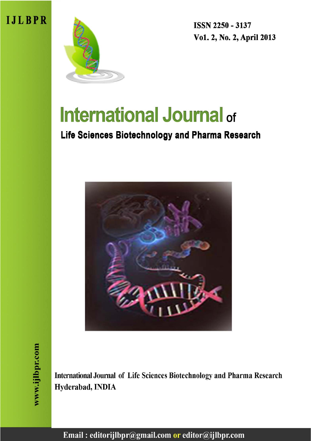



**ISSN 2250 - 3137** Vo1. 2, No. 2, April 2013

# **International Journal of**

# Life Sciences Biotechnology and Pharma Research



International Journal of Life Sciences Biotechnology and Pharma Research Hyderabad, INDIA

Email: editorijlbpr@gmail.com or editor@ijlbpr.com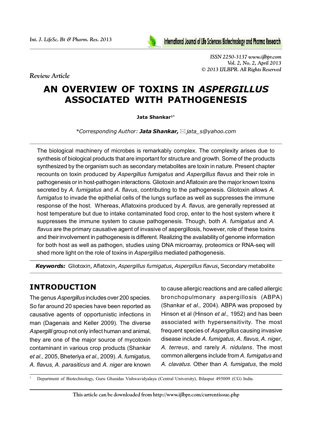*Review Article*



*ISSN 2250-3137 www.ijlbpr.com Vol. 2, No. 2, April 2013 © 2013 IJLBPR. All Rights Reserved*

# **AN OVERVIEW OF TOXINS IN** *ASPERGILLUS* **ASSOCIATED WITH PATHOGENESIS**

**Jata Shankar1\***

*\*Corresponding Author: Jata Shankar,jata\_s@yahoo.com*

The biological machinery of microbes is remarkably complex. The complexity arises due to synthesis of biological products that are important for structure and growth. Some of the products synthesized by the organism such as secondary metabolites are toxin in nature. Present chapter recounts on toxin produced by *Aspergillus fumigatus* and *Aspergillus flavus* and their role in pathogenesis or in host-pathogen interactions. Gliotoxin and Aflatoxin are the major known toxins secreted by *A. fumigatus* and *A. flavus*, contributing to the pathogenesis. Gliotoxin allows *A. fumigatus* to invade the epithelial cells of the lungs surface as well as suppresses the immune response of the host. Whereas, Aflatoxins produced by *A. flavus,* are generally repressed at host temperature but due to intake contaminated food crop, enter to the host system where it suppresses the immune system to cause pathogenesis. Though, both *A. fumigatus* and *A. flavus* are the primary causative agent of invasive of aspergillosis, however, role of these toxins and their involvement in pathogenesis is different. Realizing the availability of genome information for both host as well as pathogen, studies using DNA microarray, proteomics or RNA-seq will shed more light on the role of toxins in *Aspergillus* mediated pathogenesis.

*Keywords:* Gliotoxin, Aflatoxin, *Aspergillus fumigatus*, *Aspergillus flavus*, Secondary metabolite

# **INTRODUCTION**

The genus *Aspergillus* includes over 200 species. So far around 20 species have been reported as causative agents of opportunistic infections in man (Dagenais and Keller 2009). The diverse *Aspergilli* group not only infect human and animal, they are one of the major source of mycotoxin contaminant in various crop products (Shankar *et al.,* 2005, Bheteriya *et al.,* 2009). *A. fumigatus, A. flavus, A. parasiticus* and *A. niger* are known

to cause allergic reactions and are called allergic bronchopulmonary aspergillosis (ABPA) (Shankar *et al.,* 2004). ABPA was proposed by Hinson et al (Hinson *et al.,* 1952) and has been associated with hypersensitivity. The most frequent species of *Aspergillus* causing invasive disease include *A. fumigatus*, *A. flavus, A. niger*, *A. terreus*, and rarely *A. nidulans*. The most common allergens include from *A. fumigatus* and *A. clavatus*. Other than *A. fumigatus*, the mold

<sup>1</sup> Department of Biotechnology, Guru Ghasidas Vishwavidyalaya (Central University), Bilaspur 495009 (CG) India.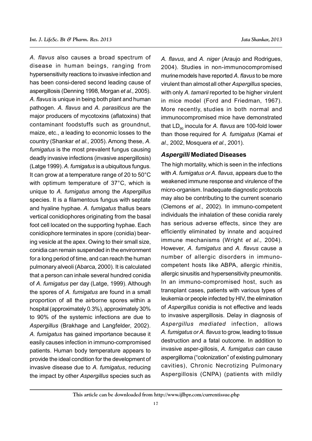*A. flavus* also causes a broad spectrum of disease in human beings, ranging from hypersensitivity reactions to invasive infection and has been consi-dered second leading cause of aspergillosis (Denning 1998, Morgan *et al.,* 2005). *A. flavus* is unique in being both plant and human pathogen. *A. flavus* and *A. parasiticus* are the major producers of mycotoxins (aflatoxins) that contaminant foodstuffs such as groundnut, maize, etc., a leading to economic losses to the country (Shankar *et al.,* 2005). Among these, *A. fumigatus* is the most prevalent fungus causing deadly invasive infections (invasive aspergillosis) (Latge 1999). *A. fumigatus* is a ubiquitous fungus. It can grow at a temperature range of 20 to 50°C with optimum temperature of 37°C, which is unique to *A. fumigatus* among the *Aspergillus* species. It is a filamentous fungus with septate and hyaline hyphae. *A. fumigatus* thallus bears vertical conidiophores originating from the basal foot cell located on the supporting hyphae. Each conidiophore terminates in spore (conidia) bearing vesicle at the apex. Owing to their small size, conidia can remain suspended in the environment for a long period of time, and can reach the human pulmonary alveoli (Abarca, 2000). It is calculated that a person can inhale several hundred conidia of *A. fumigatus* per day (Latge, 1999). Although the spores of *A. fumigatus* are found in a small proportion of all the airborne spores within a hospital (approximately 0.3%), approximately 30% to 90% of the systemic infections are due to *Aspergillus* (Brakhage and Langfelder, 2002). *A. fumigatus* has gained importance because it easily causes infection in immuno-compromised patients. Human body temperature appears to provide the ideal condition for the development of invasive disease due to *A. fumigatus*, reducing the impact by other *Aspergillus* species such as

*A. flavus*, and *A. niger* (Araujo and Rodrigues, 2004). Studies in non-immunocompromised murinemodels have reported *A. flavus* to be more virulent than almostall other *Aspergillus* species, with only *A. tamarii* reported to be higher virulent in mice model (Ford and Friedman, 1967). More recently, studies in both normal and immunocompromised mice have demonstrated that LD<sub>90</sub> inocula for *A. flavus* are 100-fold lower than those required for *A. fumigatus* (Kamai *et al.,* 2002, Mosquera *et al.,* 2001).

## *Aspergilli* **Mediated Diseases**

The high mortality, which is seen in the infections with *A. fumigatus or A. flavus*, appears due to the weakened immune response and virulence of the micro-organism. Inadequate diagnostic protocols may also be contributing to the current scenario (Clemons *et al.,* 2002). In immuno-competent individuals the inhalation of these conidia rarely has serious adverse effects, since they are efficiently eliminated by innate and acquired immune mechanisms (Wright *et al.,* 2004). However, *A. fumigatus* and *A. flavus* cause a number of allergic disorders in immunocompetent hosts like ABPA, allergic rhinitis, allergic sinusitis and hypersensitivity pneumonitis. In an immuno-compromised host, such as transplant cases, patients with various types of leukemia or people infected by HIV, the elimination of *Aspergillus* conidia is not effective and leads to invasive aspergillosis. Delay in diagnosis of *Aspergillus mediated* infection, allows *A. fumigatus or A. flavus* to grow, leading to tissue destruction and a fatal outcome. In addition to invasive asper-gillosis, *A. fumigatus can* cause aspergilloma ("colonization" of existing pulmonary cavities), Chronic Necrotizing Pulmonary Aspergillosis (CNPA) (patients with mildly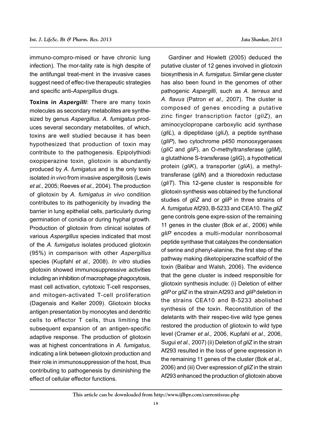immuno-compro-mised or have chronic lung infection). The mor-tality rate is high despite of the antifungal treat-ment in the invasive cases suggest need of effec-tive therapeutic strategies and specific anti-*Aspergillus* drugs.

**Toxins in** *Aspergilli*: There are many toxin molecules as secondary metabolites are synthesized by genus *Aspergillus*. *A*. *fumigatus* produces several secondary metabolites, of which, toxins are well studied because it has been hypothesized that production of toxin may contribute to the pathogenesis. Epipolythiodi oxopiperazine toxin, gliotoxin is abundantly produced by *A. fumigatus* and is the only toxin isolated *in vivo* from invasive aspergillosis (Lewis *et al.,* 2005; Reeves *et al.,* 2004). The production of gliotoxin by *A. fumigatus in vivo* condition contributes to its pathogenicity by invading the barrier in lung epithelial cells, particularly during germination of conidia or during hyphal growth. Production of gliotoxin from clinical isolates of various *Aspergillus* species indicated that most of the *A. fumigatus* isolates produced gliotoxin (95%) in comparison with other *Aspergillus* species (Kupfahl *et al.,* 2008). *In vitro* studies gliotoxin showed immunosuppressive activities including an inhibition of macrophage phagocytosis, mast cell activation, cytotoxic T-cell responses, and mitogen-activated T-cell proliferation (Dagenais and Keller 2009). Gliotoxin blocks antigen presentation by monocytes and dendritic cells to effector T cells, thus limiting the subsequent expansion of an antigen-specific adaptive response. The production of gliotoxin was at highest concentrations in *A. fumigatus*, indicating a link between gliotoxin production and their role in immunosuppression of the host, thus contributing to pathogenesis by diminishing the effect of cellular effector functions.

Gardiner and Howlett (2005) deduced the putative cluster of 12 genes involved in gliotoxin biosynthesis in *A. fumigatus*. Similar gene cluster has also been found in the genomes of other pathogenic *Aspergilli*, such as *A. terreus* and *A. flavus* (Patron *et al.,* 2007). The cluster is composed of genes encoding a putative zinc finger transcription factor (*gliZ*), an aminocyclopropane carboxylic acid synthase (*gliL*), a dipeptidase (*gliJ*), a peptide synthase (*gliP*), two cytochrome p450 monooxygenases (*gliC* and *gliF*), an O-methyltransferase (*gliM*), a glutathione S-transferase (*gliG*), a hypothetical protein (*gliK*), a transporter (*gliA*), a methyltransferase (*gliN*) and a thioredoxin reductase (*gliT*). This 12-gene cluster is responsible for gliotoxin synthesis was obtained by the functional studies of *gliZ* and or *gliP* in three strains of *A. fumigatus* Af293, B-5233 and CEA10. The *gliZ* gene controls gene expre-ssion of the remaining 11 genes in the cluster (Bok *et al.,* 2006) while *gliP* encodes a multi-modular nonribosomal peptide synthase that catalyzes the condensation of serine and phenyl-alanine, the first step of the pathway making diketopiperazine scaffold of the toxin (Balibar and Walsh, 2006). The evidence that the gene cluster is indeed responsible for gliotoxin synthesis include: (i) Deletion of either *gliP* or *gliZ* in the strain Af293 and *gliP* deletion in the strains CEA10 and B-5233 abolished synthesis of the toxin. Reconstitution of the deletants with their respec-tive wild type genes restored the production of gliotoxin to wild type level (Cramer *et al.,* 2006, Kupfahl *et al.,* 2006, Sugui *et al.,* 2007) (ii) Deletion of *gliZ* in the strain Af293 resulted in the loss of gene expression in the remaining 11 genes of the cluster (Bok *et al.,* 2006) and (iii) Over expression of *gliZ* in the strain Af293 enhanced the production of gliotoxin above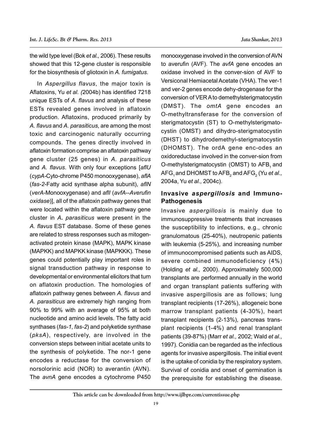the wild type level (Bok *et al.,* 2006). These results showed that this 12-gene cluster is responsible for the biosynthesis of gliotoxin in *A. fumigatus*.

In *Aspergillus flavus*, the major toxin is Aflatoxins, Yu *et al. (*2004b) has identified 7218 unique ESTs of *A. flavus* and analysis of these ESTs revealed genes involved in aflatoxin production. Aflatoxins, produced primarily by *A. flavus* and *A. parasiticus*, are among the most toxic and carcinogenic naturally occurring compounds. The genes directly involved in aflatoxin formation comprise an aflatoxin pathway gene cluster (25 genes) in *A. parasiticus* and *A. flavus*. With only four exceptions [*aflU* (*cypA-*Cyto-chrome P450 monooxygenase), *aflA* (*fas-2*-Fatty acid synthase alpha subunit), *aflN* (*verA-*Monooxygenase) and *aflI* (*avfA--Averufin oxidase*)], all of the aflatoxin pathway genes that were located within the aflatoxin pathway gene cluster in *A. parasiticus* were present in the *A. flavus* EST database. Some of these genes are related to stress responses such as mitogenactivated protein kinase (MAPK), MAPK kinase (MAPKK) and MAPKK kinase (MAPKKK). These genes could potentially play important roles in signal transduction pathway in response to developmental or environmental elicitors that turn on aflatoxin production. The homologies of aflatoxin pathway genes between *A. flavus* and *A. parasiticus* are extremely high ranging from 90% to 99% with an average of 95% at both nucleotide and amino acid levels. The fatty acid synthases (*fas-1*, *fas-2*) and polyketide synthase (*pksA*), respectively, are involved in the conversion steps between initial acetate units to the synthesis of polyketide. The nor-1 gene encodes a reductase for the conversion of norsolorinic acid (NOR) to averantin (AVN). The *avnA* gene encodes a cytochrome P450

monooxygenase involved in the conversion of AVN to averufin (AVF). The *avfA* gene encodes an oxidase involved in the conver-sion of AVF to Versiconal Hemiacetal Acetate (VHA). The ver-1 and ver-2 genes encode dehy-drogenase for the conversion of VER A to demethylsterigmatocystin (DMST). The *omtA* gene encodes an O-methyltransferase for the conversion of sterigmatocystin (ST) to O-methylsterigmatocystin (OMST) and dihydro-sterigmatocystin (DHST) to dihydrodemethyl-sterigmatocystin (DHOMST). The ordA gene enc-odes an oxidoreductase involved in the conver-sion from O-methylsterigmatocystin (OMST) to AFB, and AFG<sub>1</sub> and DHOMST to AFB<sub>2</sub> and AFG<sub>2</sub> (Yu *et al.,* 2004a, Yu *et al.,* 2004c).

# **Invasive** *aspergillosis* **and Immuno-Pathogenesis**

Invasive *aspergillosis* is mainly due to immunosuppressive treatments that increases the susceptibility to infections, e.g., chronic granulomatous (25-40%), neutropenic patients with leukemia (5-25%), and increasing number of immunocompromised patients such as AIDS, severe combined immunodeficiency (4%) (Holding *et al.,* 2000). Approximately 500,000 transplants are performed annually in the world and organ transplant patients suffering with invasive aspergillosis are as follows; lung transplant recipients (17-26%), allogeneic bone marrow transplant patients (4-30%), heart transplant recipients (2-13%), pancreas transplant recipients (1-4%) and renal transplant patients (39-87%) (Marr *et al.,* 2002; Wald *et al.,* 1997). Conidia can be regarded as the infectious agents for invasive aspergillosis. The initial event is the uptake of conidia by the respiratory system. Survival of conidia and onset of germination is the prerequisite for establishing the disease.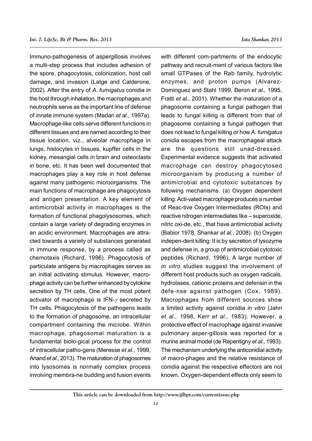Immuno-pathogenesis of aspergillosis involves a multi-step process that includes adhesion of the spore, phagocytosis, colonization, host cell damage, and invasion (Latge and Calderone, 2002). After the entry of *A. fumigatus* conidia in the host through inhalation, the macrophages and neutrophils serve as the important line of defense of innate immune system (Madan *et al.,* 1997a). Macrophage-like cells serve different functions in different tissues and are named according to their tissue location, viz., alveolar macrophage in lungs, histocytes in tissues, kupffer cells in the kidney, mesangial cells in brain and osteoclasts in bone, etc. It has been well documented that macrophages play a key role in host defense against many pathogenic microorganisms. The main functions of macrophage are phagocytosis and antigen presentation. A key element of antimicrobial activity in macrophages is the formation of functional phagolysosomes, which contain a large variety of degrading enzymes in an acidic environment. Macrophages are attracted towards a variety of substances generated in immune response, by a process called as chemotaxis (Richard, 1996). Phagocytosis of particulate antigens by macrophages serves as an initial activating stimulus. However, macrophage activity can be further enhanced by cytokine secretion by TH cells. One of the most potent activator of macrophage is  $IFN-\gamma$  secreted by TH cells. Phagocytosis of the pathogens leads to the formation of phagosome, an intracellular compartment containing the microbe. Within macrophage, phagosomal maturation is a fundamental biolo-gical process for the control of intracellular patho-gens (Meresse *et al.,* 1999, Anand *et al.,* 2013). The maturation of phagosomes into lysosomes is normally complex process involving membra-ne budding and fusion events

with different com-partments of the endocytic pathway and recruit-ment of various factors like small GTPases of the Rab family, hydrolytic enzymes, and proton pumps (Alvarez-Dominguez and Stahl 1999, Beron *et al.,* 1995, Fratti *et al.,* 2001). Whether the maturation of a phagosome containing a fungal pathogen that leads to fungal killing is different from that of phagosome containing a fungal pathogen that does not lead to fungal killing or how *A. fumigatus* conidia escapes from the macrophageal attack are the questions still unad-dressed. Experimental evidence suggests that activated macrophage can destroy phagocytosed microorganism by producing a number of antimicrobial and cytotoxic substances by following mechanisms. (a) Oxygen dependent killing: Acti-vated macrophage produces a number of Reac-tive Oxygen Intermediates (ROIs) and reactive nitrogen intermediates like – superoxide, nitric oxi-de, etc., that have antimicrobial activity (Babior 1978, Shankar *et al.,* 2008). (b) Oxygen indepen-dent killing: It is by secretion of lysozyme and defense in, a group of antimicrobial cytotoxic peptides (Richard, 1996). A large number of *in vitro* studies suggest the involvement of different host products such as oxygen radicals, hydrolases, cationic proteins and defensin in the defe-nse against pathogen (Cox, 1989). Macrophages from different sources show a limited activity against conidia *in vitro* (Jahn *et al.,* 1998, Kerr *et al.,* 1983). However, a protective effect of macrophage against invasive pulmonary asper-gillosis was reported for a murine animal model (de Repentigny *et al.,* 1993). The mechanism underlying the anticonidial activity of macro-phages and the relative resistance of conidia against the respective effectors are not known. Oxygen-dependent effects only seem to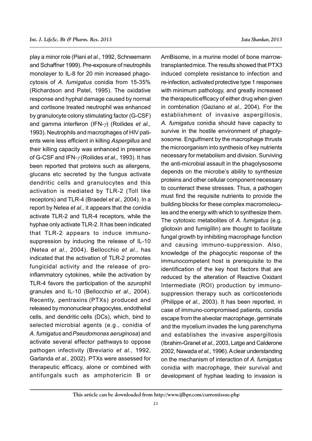play a minor role (Piani *et al.,* 1992, Schneemann and Schaffner 1999). Pre-exposure of neutrophils monolayer to IL-8 for 20 min increased phagocytosis of *A. fumigatus* conidia from 15-35% (Richardson and Patel, 1995). The oxidative response and hyphal damage caused by normal and cortisone treated neutrophil was enhanced by granulocyte colony stimulating factor (G-CSF) and gamma interferon (IFN- $\gamma$ ) (Roilides *et al.*, 1993). Neutrophils and macrophages of HIV patients were less efficient in killing *Aspergillus* and their killing capacity was enhanced in presence of G-CSF and IFN- $\gamma$ (Roilides *et al.*, 1993). It has been reported that proteins such as allergens, glucans etc secreted by the fungus activate dendritic cells and granulocytes and this activation is mediated by TLR-2 (Toll like receptors) and TLR-4 (Braedel *et al.,* 2004). In a report by Netea *et al.,* it appears that the conidia activate TLR-2 and TLR-4 receptors, while the hyphae only activate TLR-2. It has been indicated that TLR-2 appears to induce immunosuppression by inducing the release of IL-10 (Netea *et al.,* 2004). Bellocchio *et al.,* has indicated that the activation of TLR-2 promotes fungicidal activity and the release of proinflammatory cytokines, while the activation by TLR-4 favors the participation of the azurophil granules and IL-10 (Bellocchio *et al.,* 2004). Recently, pentraxins (PTXs) produced and released by mononuclear phagocytes, endothelial cells, and dendritic cells (DCs), which, bind to selected microbial agents (e.g., conidia of *A. fumigatus* and*Pseudomonas aeruginosa*) and activate several effector pathways to oppose pathogen infectivity (Breviario *et al.,* 1992, Garlanda *et al.,* 2002). PTXs were assessed for therapeutic efficacy, alone or combined with antifungals such as amphotericin B or

AmBisome, in a murine model of bone marrowtransplantedmice. The results showed that PTX3 induced complete resistance to infection and re-infection, activated protective type 1 responses with minimum pathology, and greatly increased the therapeuticefficacy of either drug when given in combination (Gaziano *et al.,* 2004). For the establishment of invasive aspergillosis, *A. fumigatus* conidia should have capacity to survive in the hostile environment of phagolysosome. Engulfment by the macrophage thrusts the microorganism into synthesis of key nutrients necessary for metabolism and division. Surviving the anti-microbial assault in the phagolysosome depends on the microbe's ability to synthesize proteins and other cellular component necessary to counteract these stresses. Thus, a pathogen must find the requisite nutrients to provide the building blocks for these complex macromolecules and the energy with which to synthesize them. The cytotoxic metabolites of *A. fumigatus* (e.g. gliotoxin and fumigillin) are thought to facilitate fungal growth by inhibiting macrophage function and causing immuno-suppression. Also, knowledge of the phagocytic response of the immunocompetent host is prerequisite to the identification of the key host factors that are reduced by the alteration of Reactive Oxidant Intermediate (ROI) production by immunosuppression therapy such as corticosteriods (Philippe *et al.,* 2003). It has been reported, in case of immuno-compromised patients, conidia escape from the alveolar macrophage, germinate and the mycelium invades the lung parenchyma and establishes the invasive aspergillosis (Ibrahim-Granet *et al.,* 2003, Latge and Calderone 2002, Nawada *et al.,* 1996). A clear understanding on the mechanism of interaction of *A. fumigatus* conidia with macrophage, their survival and development of hyphae leading to invasion is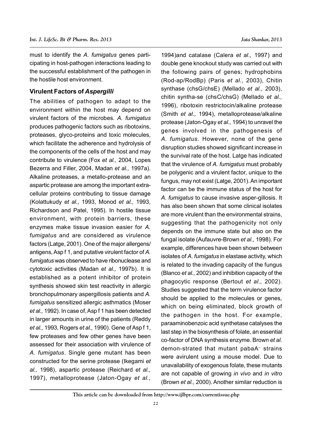must to identify the *A. fumigatus* genes participating in host-pathogen interactions leading to the successful establishment of the pathogen in the hostile host environment.

## **Virulent Factors of** *Aspergilli*

The abilities of pathogen to adapt to the environment within the host may depend on virulent factors of the microbes. *A. fumigatus* produces pathogenic factors such as ribotoxins, proteases, glyco-proteins and toxic molecules, which facilitate the adherence and hydrolysis of the components of the cells of the host and may contribute to virulence (Fox *et al.,* 2004, Lopes Bezerra and Filler, 2004, Madan *et al.,* 1997a). Alkaline proteases, a metallo-protease and an aspartic protease are among the important extracellular proteins contributing to tissue damage (Kolattukudy *et al.,* 1993, Monod *et al.,* 1993, Richardson and Patel, 1995). In hostile tissue environment, with protein barriers, these enzymes make tissue invasion easier for *A. fumigatus* and are considered as virulence factors (Latge, 2001). One of the major allergens/ antigens, Asp f 1, and putative virulent factor of *A. fumigatus* was observed to have ribonuclease and cytotoxic activities (Madan *et al.,* 1997b). It is established as a potent inhibitor of protein synthesis showed skin test reactivity in allergic bronchopulmonary aspergillosis patients and *A. fumigatus* sensitized allergic asthmatics (Moser *et al.,* 1992). In case of, Asp f 1 has been detected in larger amounts in urine of the patients (Reddy *et al.,* 1993, Rogers *et al.,* 1990). Gene of Asp f 1, few proteases and few other genes have been assessed for their association with virulence of *A. fumigatus*. Single gene mutant has been constructed for the serine protease (Ikegami *et al.,* 1998), aspartic protease (Reichard *et al.,* 1997), metalloprotease (Jaton-Ogay *et al.,*

1994)and catalase (Calera *et al.,* 1997) and double gene knockout study was carried out with the following pairs of genes; hydrophobins (Rod-ap/RodBp) (Paris *et al.,* 2003), Chitin synthase (chsG/chsE) (Mellado *et al.,* 2003), chitin syntha-se (chsC/chsG) (Mellado *et al.,* 1996), ribotoxin restrictocin/alkaline protease (Smith *et al.,* 1994), metalloprotease/alkaline protease (Jaton-Ogay *et al.,* 1994) to unravel the genes involved in the pathogenesis of *A. fumigatus.* However, none of the gene disruption studies showed significant increase in the survival rate of the host. Latge has indicated that the virulence of *A. fumigatus* must probably be polygenic and a virulent factor, unique to the fungus, may not exist (Latge, 2001). An important factor can be the immune status of the host for *A. fumigatus* to cause invasive asper-gillosis. It has also been shown that some clinical isolates are more virulent than the environmental strains, suggesting that the pathogenicity not only depends on the immune state but also on the fungal isolate (Aufauvre-Brown *et al.,* 1998). For example, differences have been shown between isolates of *A. fumigatus* in elastase activity, which is related to the invading capacity of the fungus (Blanco *et al.,* 2002) and inhibition capacity of the phagocytic response (Bertout *et al.,* 2002). Studies suggested that the term virulence factor should be applied to the molecules or genes, which on being eliminated, block growth of the pathogen in the host. For example, paraaminobenzoic acid synthetase catalyses the last step in the biosynthesis of folate, an essential co-factor of DNA synthesis enzyme. Brown *et al.* demon-strated that mutant pabaA– strains were avirulent using a mouse model. Due to unavailability of exogenous folate, these mutants are not capable of growing *in vivo* and *in vitro* (Brown *et al.,* 2000). Another similar reduction is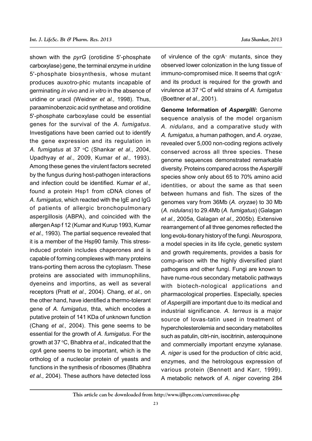shown with the *pyrG* (orotidine 5'-phosphate carboxylase) gene, the terminal enzyme in uridine 5'-phosphate biosynthesis, whose mutant produces auxotro-phic mutants incapable of germinating *in vivo* and *in vitro* in the absence of uridine or uracil (Weidner *et al.,* 1998). Thus, paraaminobenzoic acid synthetase and orotidine 5'-phosphate carboxylase could be essential genes for the survival of the *A. fumigatus*. Investigations have been carried out to identify the gene expression and its regulation in *A. fumigatus* at 37 oC (Shankar *et al.,* 2004, Upadhyay *et al.,* 2009, Kumar *et al.,* 1993). Among these genes the virulent factors secreted by the fungus during host-pathogen interactions and infection could be identified. Kumar *et al.,* found a protein Hsp1 from cDNA clones of *A. fumigatus*, which reacted with the IgE and IgG of patients of allergic bronchopulmonary aspergillosis (ABPA), and coincided with the allergen Asp f 12 (Kumar and Kurup 1993, Kumar *et al.,* 1993). The partial sequence revealed that it is a member of the Hsp90 family. This stressinduced protein includes chaperones and is capable of forming complexes with many proteins trans-porting them across the cytoplasm. These proteins are associated with immunophilins, dyeneins and importins, as well as several receptors (Pratt *et al.,* 2004). Chang, *et al.,* on the other hand, have identified a thermo-tolerant gene of *A. fumigatus*, thta, which encodes a putative protein of 141 KDa of unknown function (Chang *et al.,* 2004). This gene seems to be essential for the growth of *A. fumigatus*. For the growth at 37 °C, Bhabhra *et al.,* indicated that the *cgrA* gene seems to be important, which is the ortholog of a nucleolar protein of yeasts and functions in the synthesis of ribosomes (Bhabhra *et al.,* 2004). These authors have detected loss

of virulence of the cgrA– mutants, since they observed lower colonization in the lung tissue of immuno-compromised mice. It seems that cgrA– and its product is required for the growth and virulence at 37 °C of wild strains of A. fumigatus (Boettner *et al.,* 2001).

**Genome Information of** *Aspergilli***:** Genome sequence analysis of the model organism *A. nidulans*, and a comparative study with *A. fumigatus*, a human pathogen, and *A. oryzae*, revealed over 5,000 non-coding regions actively conserved across all three species. These genome sequences demonstrated remarkable diversity. Proteins compared across the *Aspergilli* species show only about 65 to 70% amino acid identities, or about the same as that seen between humans and fish. The sizes of the genomes vary from 36Mb (*A. oryzae*) to 30 Mb (*A. nidulans*) to 29.4Mb (*A. fumigatus*) (Galagan *et al.,* 2005a, Galagan *et al.,* 2005b). Extensive rearrangement of all three genomes reflected the long evolu-tionary history of the fungi. *Neurospora*, a model species in its life cycle, genetic system and growth requirements, provides a basis for comp-arison with the highly diversified plant pathogens and other fungi. Fungi are known to have nume-rous secondary metabolic pathways with biotech-nological applications and pharmacological properties. Especially, species of *Aspergilli* are important due to its medical and industrial significance. *A. terreus* is a major source of lovas-tatin used in treatment of hypercholesterolemia and secondary metabolites such as patulin, citri-nin, isocitrinin, asteroquinone and commercially important enzyme xylanase. *A. niger* is used for the production of citric acid, enzymes, and the hetrologous expression of various protein (Bennett and Karr, 1999). A metabolic network of *A. niger* covering 284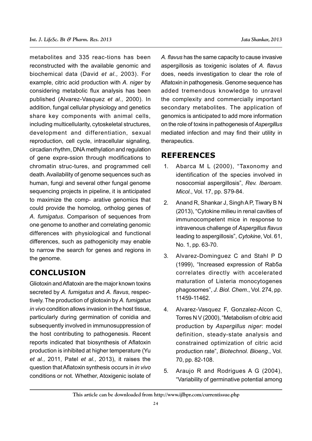metabolites and 335 reac-tions has been reconstructed with the available genomic and biochemical data (David *et al.,* 2003). For example, citric acid production with *A. niger* by considering metabolic flux analysis has been published (Alvarez-Vasquez *et al.,* 2000). In addition, fungal cellular physiology and genetics share key components with animal cells, including multicellularity, cytoskeletal structures, development and differentiation, sexual reproduction, cell cycle, intracellular signaling, circadian rhythm, DNA methylation and regulation of gene expre-ssion through modifications to chromatin struc-tures, and programmed cell death. Availability of genome sequences such as human, fungi and several other fungal genome sequencing projects in pipeline, it is anticipated to maximize the comp- arative genomics that could provide the homolog, ortholog genes of *A. fumigatus*. Comparison of sequences from one genome to another and correlating genomic differences with physiological and functional differences, such as pathogenicity may enable to narrow the search for genes and regions in the genome.

# **CONCLUSION**

Gliotoxin and Aflatoxin are the major known toxins secreted by *A. fumigatus* and *A. flavus*, respectively. The production of gliotoxin by *A. fumigatus in vivo* condition allows invasion in the host tissue, particularly during germination of conidia and subsequently involved in immunosuppression of the host contributing to pathogenesis. Recent reports indicated that biosynthesis of Aflatoxin production is inhibited at higher temperature (Yu *et al.,* 2011, Patel *et al.,* 2013), it raises the question that Aflatoxin synthesis occurs in *in vivo* conditions or not. Whether, Atoxigenic isolate of *A. flavus* has the same capacity to cause invasive aspergillosis as toxigenic isolates of *A. flavus* does, needs investigation to clear the role of Aflatoxin in pathogenesis. Genome sequence has added tremendous knowledge to unravel the complexity and commercially important secondary metabolites. The application of genomics is anticipated to add more information on the role of toxins in pathogenesis of *Aspergillus* mediated infection and may find their utility in therapeutics.

# **REFERENCES**

- 1. Abarca M L (2000), "Taxonomy and identification of the species involved in nosocomial aspergillosis", *Rev. Iberoam. Micol.*, Vol. 17, pp. S79-84.
- 2. Anand R, Shankar J, Singh A P, Tiwary B N (2013), "Cytokine milieu in renal cavities of immunocompetent mice in response to intravenous challenge of *Aspergillus flavus* leading to aspergillosis", *Cytokine*, Vol. 61, No. 1, pp. 63-70.
- 3. Alvarez-Dominguez C and Stahl P D (1999), "Increased expression of Rab5a correlates directly with accelerated maturation of Listeria monocytogenes phagosomes", *J. Biol. Chem*., Vol. 274, pp. 11459-11462.
- 4. Alvarez-Vasquez F, Gonzalez-Alcon C, Torres N V (2000), "Metabolism of citric acid production by *Aspergillus niger*: model definition, steady-state analysis and constrained optimization of citric acid production rate", *Biotechnol. Bioeng*., Vol. 70, pp. 82-108.
- 5. Araujo R and Rodrigues A G (2004), "Variability of germinative potential among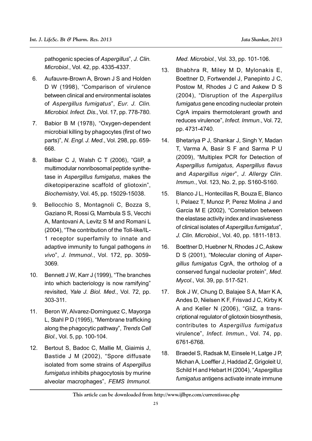pathogenic species of *Aspergillus*", *J. Clin. Microbiol.*, Vol. 42, pp. 4335-4337.

- 6. Aufauvre-Brown A, Brown J S and Holden D W (1998), "Comparison of virulence between clinical and environmental isolates of *Aspergillus fumigatus*", *Eur. J. Clin. Microbiol. Infect. Dis.*, Vol. 17, pp. 778-780.
- 7. Babior B M (1978), "Oxygen-dependent microbial killing by phagocytes (first of two parts)", *N. Engl. J. Med.*, Vol. 298, pp. 659- 668.
- 8. Balibar C J, Walsh C T (2006), "GliP, a multimodular nonribosomal peptide synthetase in *Aspergillus fumigatus*, makes the diketopiperazine scaffold of gliotoxin", *Biochemistry*, Vol. 45, pp. 15029-15038.
- 9. Bellocchio S, Montagnoli C, Bozza S, Gaziano R, Rossi G, Mambula S S, Vecchi A, Mantovani A, Levitz S M and Romani L (2004), "The contribution of the Toll-like/IL-1 receptor superfamily to innate and adaptive immunity to fungal pathogens *in vivo*", *J. Immunol*., Vol. 172, pp. 3059- 3069.
- 10. Bennett J W, Karr J (1999), "The branches into which bacteriology is now ramifying" revisited, *Yale J. Biol. Med*., Vol. 72, pp. 303-311.
- 11. Beron W, Alvarez-Dominguez C, Mayorga L, Stahl P D (1995), "Membrane trafficking along the phagocytic pathway", *Trends Cell Biol*., Vol. 5, pp. 100-104.
- 12. Bertout S, Badoc C, Mallie M, Giaimis J, Bastide J M (2002), "Spore diffusate isolated from some strains of *Aspergillus fumigatus* inhibits phagocytosis by murine alveolar macrophages", *FEMS Immunol.*

*Med. Microbiol.*, Vol. 33, pp. 101-106.

- 13. Bhabhra R, Miley M D, Mylonakis E, Boettner D, Fortwendel J, Panepinto J C, Postow M, Rhodes J C and Askew D S (2004), "Disruption of the *Aspergillus fumigatus* gene encoding nucleolar protein CgrA impairs thermotolerant growth and reduces virulence", *Infect. Immun.*, Vol. 72, pp. 4731-4740.
- 14. Bhetariya P J, Shankar J, Singh Y, Madan T, Varma A, Basir S F and Sarma P U (2009), "Multiplex PCR for Detection of *Aspergillus fumigatus*, *Aspergillus flavus* and *Aspergillus niger*", *J. Allergy Clin. Immun.*, Vol. 123, No. 2, pp. S160-S160.
- 15. Blanco J L, Hontecillas R, Bouza E, Blanco I, Pelaez T, Munoz P, Perez Molina J and Garcia M E (2002), "Correlation between the elastase activity index and invasiveness of clinical isolates of *Aspergillus fumigatus*", *J. Clin. Microbiol*., Vol. 40, pp. 1811-1813.
- 16. Boettner D, Huebner N, Rhodes J C, Askew D S (2001), "Molecular cloning of *Aspergillus fumigatus* CgrA, the ortholog of a conserved fungal nucleolar protein", *Med. Mycol*., Vol. 39, pp. 517-521.
- 17. Bok J W, Chung D, Balajee S A, Marr K A, Andes D, Nielsen K F, Frisvad J C, Kirby K A and Keller N (2006), "GliZ, a transcriptional regulator of gliotoxin biosynthesis, contributes to *Aspergillus fumigatus* virulence", *Infect. Immun.*, Vol. 74, pp. 6761-6768.
- 18. Braedel S, Radsak M, Einsele H, Latge J P, Michan A, Loeffler J, Haddad Z, Grigoleit U, Schild H and Hebart H (2004), "*Aspergillus fumigatus* antigens activate innate immune

**This article can be downloaded from http://www.ijlbpr.com/currentissue.php**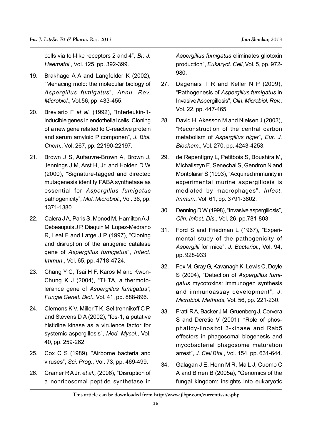cells via toll-like receptors 2 and 4", *Br. J. Haematol.*, Vol. 125, pp. 392-399.

- 19. Brakhage A A and Langfelder K (2002), "Menacing mold: the molecular biology of *Aspergillus fumigatus*", *Annu. Rev. Microbiol*., Vol.56, pp. 433-455.
- 20. Breviario F *et al.* (1992), "Interleukin-1 inducible genes in endothelial cells. Cloning of a new gene related to C-reactive protein and serum amyloid P componen", *J. Biol. Chem.,* Vol. 267, pp. 22190-22197.
- 21. Brown J S, Aufauvre-Brown A, Brown J, Jennings J M, Arst H, Jr. and Holden D W (2000), "Signature-tagged and directed mutagenesis identify PABA synthetase as essential for *Aspergillus fumigatus* pathogenicity", *Mol. Microbiol*., Vol. 36, pp. 1371-1380.
- 22. Calera JA, Paris S, Monod M, Hamilton AJ, Debeaupuis J P, Diaquin M, Lopez-Medrano R, Leal F and Latge J P (1997), "Cloning and disruption of the antigenic catalase gene of *Aspergillus fumigatus*", *Infect. Immun*., Vol. 65, pp. 4718-4724.
- 23. Chang Y C, Tsai H F, Karos M and Kwon-Chung K J (2004), "THTA, a thermotolerance gene of *Aspergillus fumigatus"*, *Fungal Genet. Biol.*, Vol. 41, pp. 888-896.
- 24. Clemons K V, Miller T K, Selitrennikoff C P, and Stevens D A (2002), "fos-1, a putative histidine kinase as a virulence factor for systemic aspergillosis", *Med. Mycol.*, Vol. 40, pp. 259-262.
- 25. Cox C S (1989), "Airborne bacteria and viruses", *Sci. Prog*., Vol. 73, pp. 469-499.
- 26. Cramer R A Jr. *et al.,* (2006), "Disruption of a nonribosomal peptide synthetase in

*Aspergillus fumigatus* eliminates gliotoxin production", *Eukaryot. Cell*, Vol. 5, pp. 972- 980.

- 27. Dagenais T R and Keller N P (2009), "Pathogenesis of *Aspergillus fumigatus* in Invasive Aspergillosis", *Clin. Microbiol. Rev.*, Vol. 22, pp. 447-465.
- 28. David H, Akesson M and Nielsen J (2003), "Reconstruction of the central carbon metabolism of *Aspergillus niger*", *Eur. J. Biochem*., Vol. 270, pp. 4243-4253.
- 29. de Repentigny L, Petitbois S, Boushira M, Michaliszyn E, Senechal S, Gendron N and Montplaisir S (1993), "Acquired immunity in experimental murine aspergillosis is mediated by macrophages", *Infect. Immun*., Vol. 61, pp. 3791-3802.
- 30. Denning D W (1998), "Invasive aspergillosis", *Clin. Infect. Dis*., Vol. 26, pp.781-803.
- 31. Ford S and Friedman L (1967), "Experimental study of the pathogenicity of *Aspergilli* for mice", *J. Bacteriol.*, Vol. 94, pp. 928-933.
- 32. Fox M, Gray G, Kavanagh K, Lewis C, Doyle S (2004), "Detection of *Aspergillus fumigatus* mycotoxins: immunogen synthesis and immunoassay development", *J. Microbiol. Methods*, Vol. 56, pp. 221-230.
- 33. Fratti R A, Backer J M, Gruenberg J, Corvera S and Deretic V (2001), "Role of phosphatidy-linositol 3-kinase and Rab5 effectors in phagosomal biogenesis and mycobacterial phagosome maturation arrest", *J. Cell Biol.*, Vol. 154, pp. 631-644.
- 34. Galagan J E, Henn M R, Ma L J, Cuomo C A and Birren B (2005a), "Genomics of the fungal kingdom: insights into eukaryotic

**This article can be downloaded from http://www.ijlbpr.com/currentissue.php**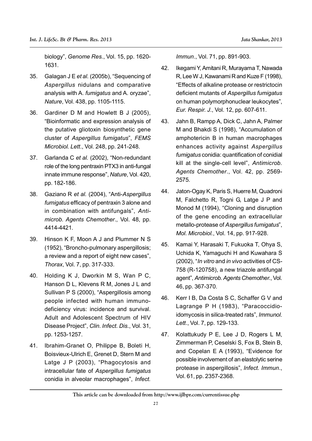biology", *Genome Res.*, Vol. 15, pp. 1620- 1631.

- 35. Galagan J E *et al.* (2005b), "Sequencing of *Aspergillus* nidulans and comparative analysis with A. *fumigatus* and A. oryzae", *Nature*, Vol. 438, pp. 1105-1115.
- 36. Gardiner D M and Howlett B J (2005), "Bioinformatic and expression analysis of the putative gliotoxin biosynthetic gene cluster of *Aspergillus fumigatus*", *FEMS Microbiol. Lett*., Vol. 248, pp. 241-248.
- 37. Garlanda C *et al.* (2002), "Non-redundant role of the long pentraxin PTX3 in anti-fungal innate immune response", *Nature*, Vol. 420, pp. 182-186.
- 38. Gaziano R *et al.* (2004), "Anti-*Aspergillus fumigatus* efficacy of pentraxin 3 alone and in combination with antifungals", *Antimicrob. Agents Chemother*., Vol. 48, pp. 4414-4421.
- 39. Hinson K F, Moon A J and Plummer N S (1952), "Broncho-pulmonary aspergillosis; a review and a report of eight new cases", *Thorax*, Vol. 7, pp. 317-333.
- 40. Holding K J, Dworkin M S, Wan P C, Hanson D L, Klevens R M, Jones J L and Sullivan P S (2000), "Aspergillosis among people infected with human immunodeficiency virus: incidence and survival. Adult and Adolescent Spectrum of HIV Disease Project", *Clin. Infect. Dis*., Vol. 31, pp. 1253-1257.
- 41. Ibrahim-Granet O, Philippe B, Boleti H, Boisvieux-Ulrich E, Grenet D, Stern M and Latge J P (2003), "Phagocytosis and intracellular fate of *Aspergillus fumigatus* conidia in alveolar macrophages", *Infect.*

*Immun*., Vol. 71, pp. 891-903.

- 42. Ikegami Y, Amitani R, Murayama T, Nawada R, Lee W J, Kawanami R and Kuze F (1998), "Effects of alkaline protease or restrictocin deficient mutants of *Aspergillus fumigatus* on human polymorphonuclear leukocytes", *Eur. Respir. J*., Vol. 12, pp. 607-611.
- 43. Jahn B, Rampp A, Dick C, Jahn A, Palmer M and Bhakdi S (1998), "Accumulation of amphotericin B in human macrophages enhances activity against *Aspergillus fumigatus* conidia: quantification of conidial kill at the single-cell level", *Antimicrob. Agents Chemother*., Vol. 42, pp. 2569- 2575.
- 44. Jaton-Ogay K, Paris S, Huerre M, Quadroni M, Falchetto R, Togni G, Latge J P and Monod M (1994), "Cloning and disruption of the gene encoding an extracellular metallo-protease of *Aspergillus fumigatus*", *Mol. Microbiol.*, Vol. 14, pp. 917-928.
- 45. Kamai Y, Harasaki T, Fukuoka T, Ohya S, Uchida K, Yamaguchi H and Kuwahara S (2002), "*In vitro* and *in vivo* activities of CS-758 (R-120758), a new triazole antifungal agent", *Antimicrob. Agents Chemother.*, Vol. 46, pp. 367-370.
- 46. Kerr I B, Da Costa S C, Schaffer G V and Lagrange P H (1983), "Paracoccidioidomycosis in silica-treated rats", *Immunol. Lett*., Vol. 7, pp. 129-133.
- 47. Kolattukudy P E, Lee J D, Rogers L M, Zimmerman P, Ceselski S, Fox B, Stein B, and Copelan E A (1993), "Evidence for possible involvement of an elastolytic serine protease in aspergillosis", *Infect. Immun*., Vol. 61, pp. 2357-2368.

**This article can be downloaded from http://www.ijlbpr.com/currentissue.php**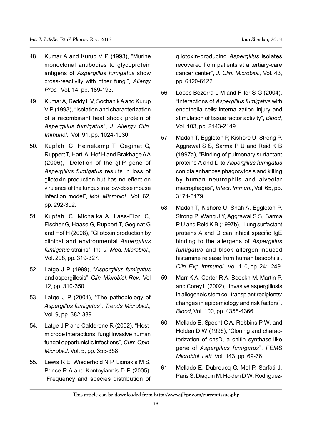- 48. Kumar A and Kurup V P (1993), "Murine monoclonal antibodies to glycoprotein antigens of *Aspergillus fumigatus* show cross-reactivity with other fungi", *Allergy Proc.*, Vol. 14, pp. 189-193.
- 49. Kumar A, Reddy L V, Sochanik A and Kurup V P (1993), "Isolation and characterization of a recombinant heat shock protein of *Aspergillus fumigatus*", *J. Allergy Clin. Immunol.*, Vol. 91, pp. 1024-1030.
- 50. Kupfahl C, Heinekamp T, Geginat G, Ruppert T, Hartl A, Hof H and Brakhage A A (2006), "Deletion of the gliP gene of *Aspergillus fumigatus* results in loss of gliotoxin production but has no effect on virulence of the fungus in a low-dose mouse infection model", *Mol. Microbiol*., Vol. 62, pp. 292-302.
- 51. Kupfahl C, Michalka A, Lass-Florl C, Fischer G, Haase G, Ruppert T, Geginat G and Hof H (2008), "Gliotoxin production by clinical and environmental *Aspergillus fumigatus* strains", Int. *J. Med. Microbiol.*, Vol. 298, pp. 319-327.
- 52. Latge J P (1999), "*Aspergillus fumigatus* and aspergillosis", *Clin. Microbiol. Rev*., Vol 12, pp. 310-350.
- 53. Latge J P (2001), "The pathobiology of *Aspergillus fumigatus*", *Trends Microbiol*., Vol. 9, pp. 382-389.
- 54. Latge J P and Calderone R (2002), "Hostmicrobe interactions: fungi invasive human fungal opportunistic infections", *Curr. Opin. Microbiol*. Vol. 5, pp. 355-358.
- 55. Lewis R E, Wiederhold N P, Lionakis M S, Prince R A and Kontoyiannis D P (2005), "Frequency and species distribution of

gliotoxin-producing *Aspergillus* isolates recovered from patients at a tertiary-care cancer center", *J. Clin. Microbiol.*, Vol. 43, pp. 6120-6122.

- 56. Lopes Bezerra L M and Filler S G (2004), "Interactions of *Aspergillus fumigatus* with endothelial cells: internalization, injury, and stimulation of tissue factor activity", *Blood*, Vol. 103, pp. 2143-2149.
- 57. Madan T, Eggleton P, Kishore U, Strong P, Aggrawal S S, Sarma P U and Reid K B (1997a), "Binding of pulmonary surfactant proteins A and D to *Aspergillus fumigatus* conidia enhances phagocytosis and killing by human neutrophils and alveolar macrophages", *Infect. Immun*., Vol. 65, pp. 3171-3179.
- 58. Madan T, Kishore U, Shah A, Eggleton P, Strong P, Wang J Y, Aggrawal S S, Sarma P U and Reid K B (1997b), "Lung surfactant proteins A and D can inhibit specific IgE binding to the allergens of *Aspergillus fumigatus* and block allergen-induced histamine release from human basophils', *Clin. Exp. Immunol*., Vol. 110, pp. 241-249.
- 59. Marr K A, Carter R A, Boeckh M, Martin P, and Corey L (2002), "Invasive aspergillosis in allogeneic stem cell transplant recipients: changes in epidemiology and risk factors", *Blood*, Vol. 100, pp. 4358-4366.
- 60. Mellado E, Specht C A, Robbins P W, and Holden D W (1996), 'Cloning and characterization of chsD, a chitin synthase-like gene of *Aspergillus fumigatus*", *FEMS Microbiol. Lett*. Vol. 143, pp. 69-76.
- 61. Mellado E, Dubreucq G, Mol P, Sarfati J, Paris S, Diaquin M, Holden D W, Rodriguez-

**This article can be downloaded from http://www.ijlbpr.com/currentissue.php**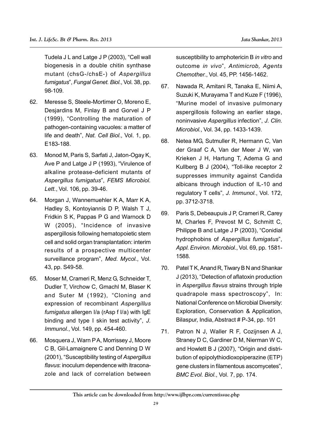Tudela J L and Latge J P (2003), "Cell wall biogenesis in a double chitin synthase mutant (chsG-/chsE-) of *Aspergillus fumigatus*", *Fungal Genet. Biol*., Vol. 38, pp. 98-109.

- 62. Meresse S, Steele-Mortimer O, Moreno E, Desjardins M, Finlay B and Gorvel J P (1999), "Controlling the maturation of pathogen-containing vacuoles: a matter of life and death", *Nat. Cell Biol*., Vol. 1, pp. E183-188.
- 63. Monod M, Paris S, Sarfati J, Jaton-Ogay K, Ave P and Latge J P (1993), "Virulence of alkaline protease-deficient mutants of *Aspergillus fumigatus*", *FEMS Microbiol. Lett.*, Vol. 106, pp. 39-46.
- 64. Morgan J, Wannemuehler K A, Marr K A, Hadley S, Kontoyiannis D P, Walsh T J, Fridkin S K, Pappas P G and Warnock D W (2005), "Incidence of invasive aspergillosis following hematopoietic stem cell and solid organ transplantation: interim results of a prospective multicenter surveillance program", *Med. Mycol.*, Vol. 43, pp. S49-58.
- 65. Moser M, Crameri R, Menz G, Schneider T, Dudler T, Virchow C, Gmachl M, Blaser K and Suter M (1992), "Cloning and expression of recombinant *Aspergillus fumigatus* allergen I/a (rAsp f I/a) with IgE binding and type I skin test activity", *J. Immunol.*, Vol. 149, pp. 454-460.
- 66. Mosquera J, Warn P A, Morrissey J, Moore C B, Gil-Lamaignere C and Denning D W (2001), "Susceptibility testing of *Aspergillus flavus*: inoculum dependence with itraconazole and lack of correlation between

susceptibility to amphotericin B *in vitro* and outcome *in vivo*", *Antimicrob, Agents Chemother.*, Vol. 45, PP. 1456-1462.

- 67. Nawada R, Amitani R, Tanaka E, Niimi A, Suzuki K, Murayama T and Kuze F (1996), "Murine model of invasive pulmonary aspergillosis following an earlier stage, noninvasive *Aspergillus* infection", *J. Clin. Microbiol.*, Vol. 34, pp. 1433-1439.
- 68. Netea MG, Sutmuller R, Hermann C, Van der Graaf C A, Van der Meer J W, van Krieken J H, Hartung T, Adema G and Kullberg B J (2004), "Toll-like receptor 2 suppresses immunity against Candida albicans through induction of IL-10 and regulatory T cells", *J. Immunol.*, Vol. 172, pp. 3712-3718.
- 69. Paris S, Debeaupuis J P, Crameri R, Carey M, Charles F, Prevost M C, Schmitt C, Philippe B and Latge J P (2003), "Conidial hydrophobins of *Aspergillus fumigatus*", *Appl. Environ. Microbiol*., Vol. 69, pp. 1581- 1588.
- 70. Patel T K, Anand R, Tiwary B N and Shankar J (2013), "Detection of aflatoxin production in *Aspergillus flavus* strains through triple quadrapole mass spectroscopy", In: National Conference on Microbial Diversity: Exploration, Conservation & Application, Bilaspur, India, Abstract # P-34, pp. 101
- 71. Patron N J, Waller R F, Cozijnsen A J, Straney D C, Gardiner D M, Nierman W C, and Howlett B J (2007), "Origin and distribution of epipolythiodioxopiperazine (ETP) gene clusters in filamentous ascomycetes", *BMC Evol. Biol.*, Vol. 7, pp. 174.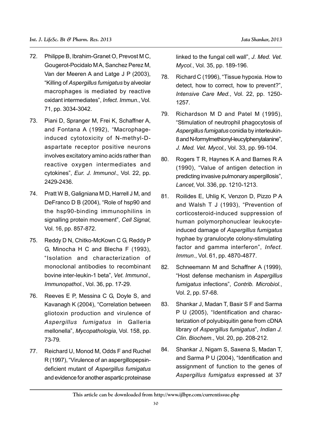- 72. Philippe B, Ibrahim-Granet O, Prevost M C, Gougerot-Pocidalo M A, Sanchez Perez M, Van der Meeren A and Latge J P (2003), "Killing of *Aspergillus fumigatus* by alveolar macrophages is mediated by reactive oxidant intermediates", *Infect. Immun*., Vol. 71, pp. 3034-3042.
- 73. Piani D, Spranger M, Frei K, Schaffner A, and Fontana A (1992), "Macrophageinduced cytotoxicity of N-methyl-Daspartate receptor positive neurons involves excitatory amino acids rather than reactive oxygen intermediates and cytokines", *Eur. J. Immunol*., Vol. 22, pp. 2429-2436.
- 74. Pratt W B, Galigniana M D, Harrell J M, and DeFranco D B (2004), "Role of hsp90 and the hsp90-binding immunophilins in signalling protein movement", *Cell Signal*, Vol. 16, pp. 857-872.
- 75. Reddy D N, Chitko-McKown C G, Reddy P G, Minocha H C and Blecha F (1993), "Isolation and characterization of monoclonal antibodies to recombinant bovine inter-leukin-1 beta", *Vet. Immunol., Immunopathol.*, Vol. 36, pp. 17-29.
- 76. Reeves E P, Messina C G, Doyle S, and Kavanagh K (2004), "Correlation between gliotoxin production and virulence of *Aspergillus fumigatus* in Galleria mellonella", *Mycopathologia*, Vol. 158, pp. 73-79.
- 77. Reichard U, Monod M, Odds F and Ruchel R (1997), "Virulence of an aspergillopepsindeficient mutant of *Aspergillus fumigatus* and evidence for another aspartic proteinase

linked to the fungal cell wall", *J. Med. Vet. Mycol.*, Vol. 35, pp. 189-196.

- 78. Richard C (1996), "Tissue hypoxia. How to detect, how to correct, how to prevent?", *Intensive Care Med.*, Vol. 22, pp. 1250- 1257.
- 79. Richardson M D and Patel M (1995), "Stimulation of neutrophil phagocytosis of *Aspergillus fumigatus* conidia by interleukin-8 and N-formylmethionyl-leucylphenylalanine", *J. Med. Vet. Mycol*., Vol. 33, pp. 99-104.
- 80. Rogers T R, Haynes K A and Barnes R A (1990), "Value of antigen detection in predicting invasive pulmonary aspergillosis", *Lancet*, Vol. 336, pp. 1210-1213.
- 81. Roilides E, Uhlig K, Venzon D, Pizzo P A and Walsh T J (1993), "Prevention of corticosteroid-induced suppression of human polymorphonuclear leukocyteinduced damage of *Aspergillus fumigatus* hyphae by granulocyte colony-stimulating factor and gamma interferon", *Infect. Immun*., Vol. 61, pp. 4870-4877.
- 82. Schneemann M and Schaffner A (1999), "Host defense mechanism in *Aspergillus fumigatus* infections", *Contrib. Microbiol.*, Vol. 2, pp. 57-68.
- 83. Shankar J, Madan T, Basir S F and Sarma P U (2005), "Identification and characterization of polyubiquitin gene from cDNA library of *Aspergillus fumigatus*", *Indian J. Clin. Biochem*., Vol. 20, pp. 208-212.
- 84. Shankar J, Nigam S, Saxena S, Madan T, and Sarma P U (2004), "Identification and assignment of function to the genes of *Aspergillus fumigatus* expressed at 37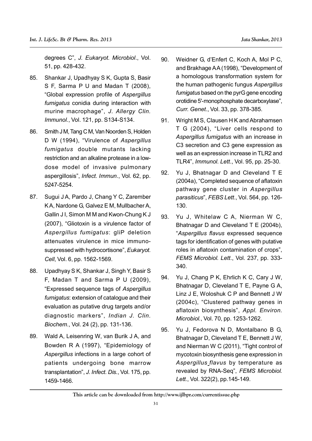degrees C", *J. Eukaryot. Microbiol*., Vol. 51, pp. 428-432.

- 85. Shankar J, Upadhyay S K, Gupta S, Basir S F, Sarma P U and Madan T (2008), "Global expression profile of *Aspergillus fumigatus* conidia during interaction with murine macrophage", *J. Allergy Clin. Immunol.*, Vol. 121, pp. S134-S134.
- 86. Smith J M, Tang C M, Van Noorden S, Holden D W (1994), "Virulence of *Aspergillus fumigatus* double mutants lacking restriction and an alkaline protease in a lowdose model of invasive pulmonary aspergillosis", *Infect. Immun*., Vol. 62, pp. 5247-5254.
- 87. Sugui J A, Pardo J, Chang Y C, Zarember K A, Nardone G, Galvez E M, Mullbacher A, Gallin J I, Simon M M and Kwon-Chung K J (2007), "Gliotoxin is a virulence factor of *Aspergillus fumigatus*: gliP deletion attenuates virulence in mice immunosuppressed with hydrocortisone", *Eukaryot. Cell*, Vol. 6, pp. 1562-1569.
- 88. Upadhyay S K, Shankar J, Singh Y, Basir S F, Madan T and Sarma P U (2009), "Expressed sequence tags of *Aspergillus fumigatus*: extension of catalogue and their evaluation as putative drug targets and/or diagnostic markers", *Indian J. Clin. Biochem*., Vol. 24 (2), pp. 131-136.
- 89. Wald A, Leisenring W, van Burik J A, and Bowden R A (1997), "Epidemiology of *Aspergillus* infections in a large cohort of patients undergoing bone marrow transplantation", *J. Infect. Dis.*, Vol. 175, pp. 1459-1466.
- 90. Weidner G, d'Enfert C, Koch A, Mol P C, and Brakhage AA (1998), "Development of a homologous transformation system for the human pathogenic fungus *Aspergillus fumigatus* based on the pyrG gene encoding orotidine 5'-monophosphate decarboxylase", *Curr. Genet*., Vol. 33, pp. 378-385.
- 91. Wright M S, Clausen H K and Abrahamsen T G (2004), "Liver cells respond to *Aspergillus fumigatus* with an increase in C3 secretion and C3 gene expression as well as an expression increase in TLR2 and TLR4", *Immunol. Lett*., Vol. 95, pp. 25-30.
- 92. Yu J, Bhatnagar D and Cleveland T E (2004a), "Completed sequence of aflatoxin pathway gene cluster in *Aspergillus parasiticus*", *FEBS Lett*., Vol. 564, pp. 126- 130.
- 93. Yu J, Whitelaw C A, Nierman W C, Bhatnagar D and Cleveland T E (2004b), "*Aspergillus flavus* expressed sequence tags for identification of genes with putative roles in aflatoxin contamination of crops", *FEMS Microbiol. Lett*., Vol. 237, pp. 333- 340.
- 94. Yu J, Chang P K, Ehrlich K C, Cary J W, Bhatnagar D, Cleveland T E, Payne G A, Linz J E, Woloshuk C P and Bennett J W (2004c), "Clustered pathway genes in aflatoxin biosynthesis", *Appl. Environ. Microbiol.*, Vol. 70, pp. 1253-1262.
- 95. Yu J, Fedorova N D, Montalbano B G, Bhatnagar D, Cleveland T E, Bennett J W, and Nierman W C (2011), "Tight control of mycotoxin biosynthesis gene expression in *Aspergillus flavus* by temperature as revealed by RNA-Seq", *FEMS Microbiol. Lett.*, Vol. 322(2), pp.145-149.